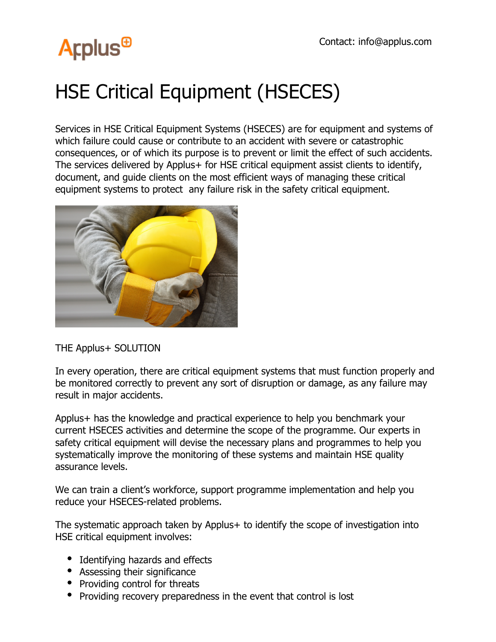## **Arplus<sup>®</sup>**

### HSE Critical Equipment (HSECES)

Services in HSE Critical Equipment Systems (HSECES) are for equipment and systems of which failure could cause or contribute to an accident with severe or catastrophic consequences, or of which its purpose is to prevent or limit the effect of such accidents. The services delivered by Applus+ for HSE critical equipment assist clients to identify, document, and guide clients on the most efficient ways of managing these critical equipment systems to protect any failure risk in the safety critical equipment.



THE Applus+ SOLUTION

In every operation, there are critical equipment systems that must function properly and be monitored correctly to prevent any sort of disruption or damage, as any failure may result in major accidents.

Applus+ has the knowledge and practical experience to help you benchmark your current HSECES activities and determine the scope of the programme. Our experts in safety critical equipment will devise the necessary plans and programmes to help you systematically improve the monitoring of these systems and maintain HSE quality assurance levels.

We can train a client's workforce, support programme implementation and help you reduce your HSECES-related problems.

The systematic approach taken by Applus+ to identify the scope of investigation into HSE critical equipment involves:

- Identifying hazards and effects
- Assessing their significance
- Providing control for threats
- Providing recovery preparedness in the event that control is lost